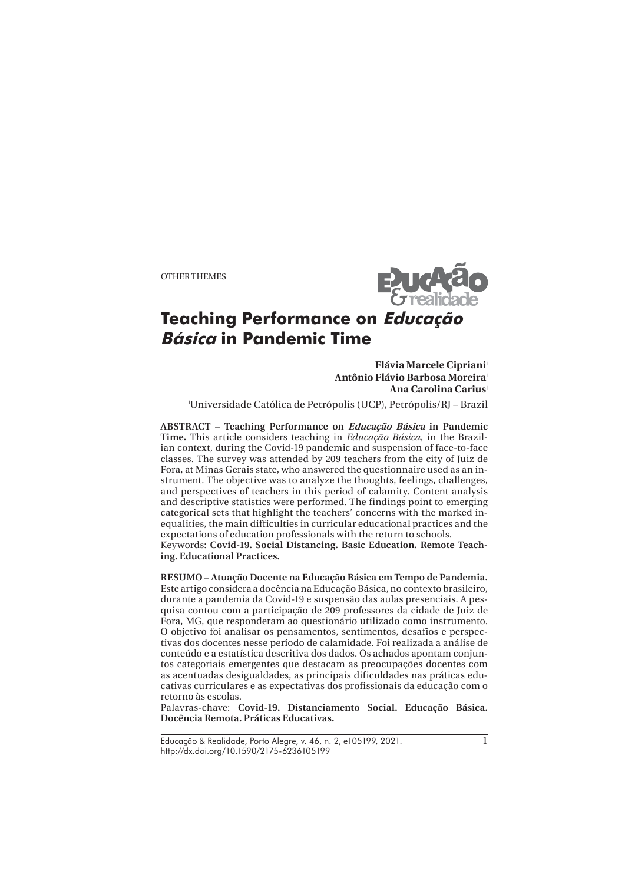OTHER THEMES



# **Teaching Performance on Educação Básica in Pandemic Time**

**Flávia Marcele Cipriani Antônio Flávio Barbosa Moreira**<sup>I</sup> **Ana Carolina Carius**<sup>I</sup>

'Universidade Católica de Petrópolis (UCP), Petrópolis/RJ – Brazil

**ABSTRACT – Teaching Performance on Educação Básica in Pandemic Time.** This article considers teaching in *Educação Básica*, in the Brazilian context, during the Covid-19 pandemic and suspension of face-to-face classes. The survey was attended by 209 teachers from the city of Juiz de Fora, at Minas Gerais state, who answered the questionnaire used as an instrument. The objective was to analyze the thoughts, feelings, challenges, and perspectives of teachers in this period of calamity. Content analysis and descriptive statistics were performed. The findings point to emerging categorical sets that highlight the teachers' concerns with the marked inequalities, the main difficulties in curricular educational practices and the expectations of education professionals with the return to schools. Keywords: **Covid-19. Social Distancing. Basic Education. Remote Teaching. Educational Practices.** 

**RESUMO – Atuação Docente na Educação Básica em Tempo de Pandemia.**  Este artigo considera a docência na Educação Básica, no contexto brasileiro, durante a pandemia da Covid-19 e suspensão das aulas presenciais. A pesquisa contou com a participação de 209 professores da cidade de Juiz de Fora, MG, que responderam ao questionário utilizado como instrumento. O objetivo foi analisar os pensamentos, sentimentos, desafios e perspectivas dos docentes nesse período de calamidade. Foi realizada a análise de conteúdo e a estatística descritiva dos dados. Os achados apontam conjuntos categoriais emergentes que destacam as preocupações docentes com as acentuadas desigualdades, as principais dificuldades nas práticas educativas curriculares e as expectativas dos profissionais da educação com o retorno às escolas.

Palavras-chave: **Covid-19. Distanciamento Social. Educação Básica. Docência Remota. Práticas Educativas.**

Educação & Realidade, Porto Alegre, v. 46, n. 2, e105199, 2021. http://dx.doi.org/10.1590/2175-6236105199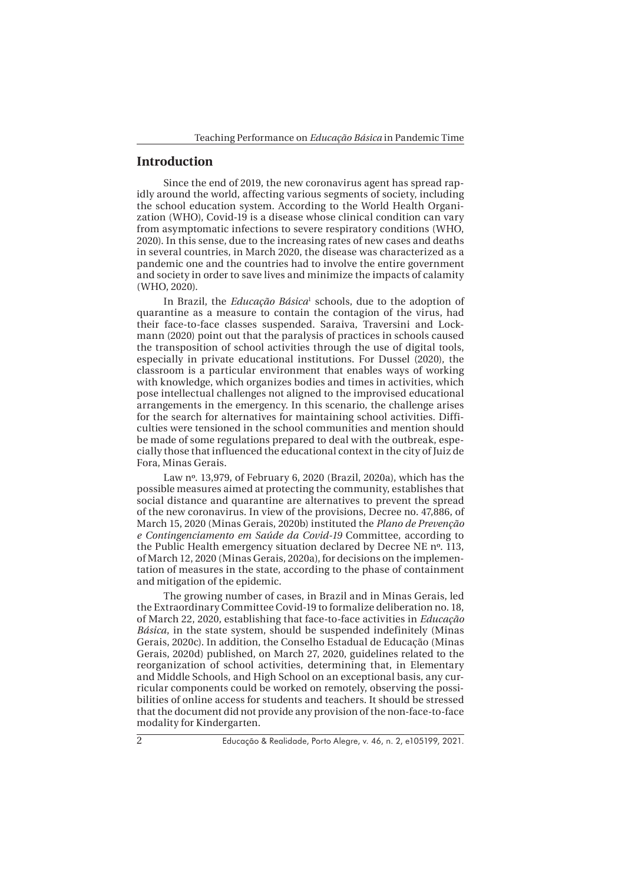## **Introduction**

Since the end of 2019, the new coronavirus agent has spread rapidly around the world, affecting various segments of society, including the school education system. According to the World Health Organization (WHO), Covid-19 is a disease whose clinical condition can vary from asymptomatic infections to severe respiratory conditions (WHO, 2020). In this sense, due to the increasing rates of new cases and deaths in several countries, in March 2020, the disease was characterized as a pandemic one and the countries had to involve the entire government and society in order to save lives and minimize the impacts of calamity (WHO, 2020).

In Brazil, the *Educação Básica*<sup>1</sup> schools, due to the adoption of quarantine as a measure to contain the contagion of the virus, had their face-to-face classes suspended. Saraiva, Traversini and Lockmann (2020) point out that the paralysis of practices in schools caused the transposition of school activities through the use of digital tools, especially in private educational institutions. For Dussel (2020), the classroom is a particular environment that enables ways of working with knowledge, which organizes bodies and times in activities, which pose intellectual challenges not aligned to the improvised educational arrangements in the emergency. In this scenario, the challenge arises for the search for alternatives for maintaining school activities. Difficulties were tensioned in the school communities and mention should be made of some regulations prepared to deal with the outbreak, especially those that influenced the educational context in the city of Juiz de Fora, Minas Gerais.

Law nº. 13,979, of February 6, 2020 (Brazil, 2020a), which has the possible measures aimed at protecting the community, establishes that social distance and quarantine are alternatives to prevent the spread of the new coronavirus. In view of the provisions, Decree no. 47,886, of March 15, 2020 (Minas Gerais, 2020b) instituted the *Plano de Prevenção e Contingenciamento em Saúde da Covid-19* Committee, according to the Public Health emergency situation declared by Decree NE nº. 113, of March 12, 2020 (Minas Gerais, 2020a), for decisions on the implementation of measures in the state, according to the phase of containment and mitigation of the epidemic.

The growing number of cases, in Brazil and in Minas Gerais, led the Extraordinary Committee Covid-19 to formalize deliberation no. 18, of March 22, 2020, establishing that face-to-face activities in *Educação Básica*, in the state system, should be suspended indefinitely (Minas Gerais, 2020c). In addition, the Conselho Estadual de Educação (Minas Gerais, 2020d) published, on March 27, 2020, guidelines related to the reorganization of school activities, determining that, in Elementary and Middle Schools, and High School on an exceptional basis, any curricular components could be worked on remotely, observing the possibilities of online access for students and teachers. It should be stressed that the document did not provide any provision of the non-face-to-face modality for Kindergarten.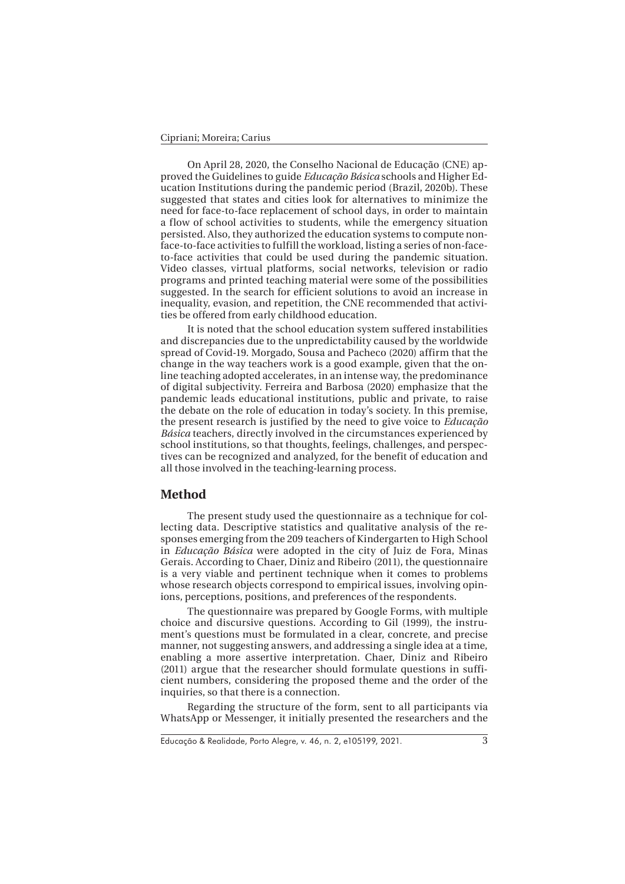On April 28, 2020, the Conselho Nacional de Educação (CNE) approved the Guidelines to guide *Educação Básica* schools and Higher Education Institutions during the pandemic period (Brazil, 2020b). These suggested that states and cities look for alternatives to minimize the need for face-to-face replacement of school days, in order to maintain a flow of school activities to students, while the emergency situation persisted. Also, they authorized the education systems to compute nonface-to-face activities to fulfill the workload, listing a series of non-faceto-face activities that could be used during the pandemic situation. Video classes, virtual platforms, social networks, television or radio programs and printed teaching material were some of the possibilities suggested. In the search for efficient solutions to avoid an increase in inequality, evasion, and repetition, the CNE recommended that activities be offered from early childhood education.

It is noted that the school education system suffered instabilities and discrepancies due to the unpredictability caused by the worldwide spread of Covid-19. Morgado, Sousa and Pacheco (2020) affirm that the change in the way teachers work is a good example, given that the online teaching adopted accelerates, in an intense way, the predominance of digital subjectivity. Ferreira and Barbosa (2020) emphasize that the pandemic leads educational institutions, public and private, to raise the debate on the role of education in today's society. In this premise, the present research is justified by the need to give voice to *Educação Básica* teachers, directly involved in the circumstances experienced by school institutions, so that thoughts, feelings, challenges, and perspectives can be recognized and analyzed, for the benefit of education and all those involved in the teaching-learning process.

#### **Method**

The present study used the questionnaire as a technique for collecting data. Descriptive statistics and qualitative analysis of the responses emerging from the 209 teachers of Kindergarten to High School in *Educação Básica* were adopted in the city of Juiz de Fora, Minas Gerais. According to Chaer, Diniz and Ribeiro (2011), the questionnaire is a very viable and pertinent technique when it comes to problems whose research objects correspond to empirical issues, involving opinions, perceptions, positions, and preferences of the respondents.

The questionnaire was prepared by Google Forms, with multiple choice and discursive questions. According to Gil (1999), the instrument's questions must be formulated in a clear, concrete, and precise manner, not suggesting answers, and addressing a single idea at a time, enabling a more assertive interpretation. Chaer, Diniz and Ribeiro (2011) argue that the researcher should formulate questions in sufficient numbers, considering the proposed theme and the order of the inquiries, so that there is a connection.

Regarding the structure of the form, sent to all participants via WhatsApp or Messenger, it initially presented the researchers and the

Educação & Realidade, Porto Alegre, v. 46, n. 2, e105199, 2021.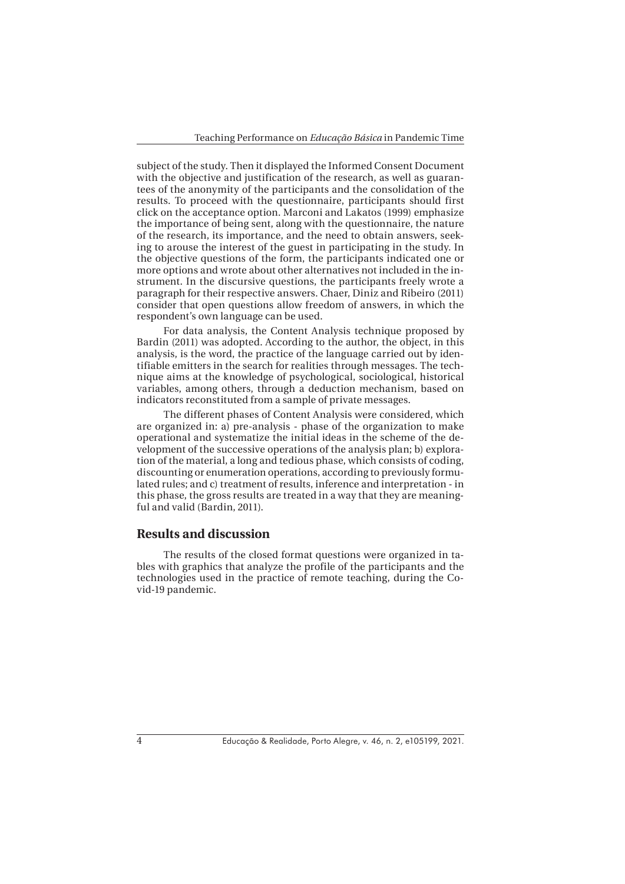subject of the study. Then it displayed the Informed Consent Document with the objective and justification of the research, as well as guarantees of the anonymity of the participants and the consolidation of the results. To proceed with the questionnaire, participants should first click on the acceptance option. Marconi and Lakatos (1999) emphasize the importance of being sent, along with the questionnaire, the nature of the research, its importance, and the need to obtain answers, seeking to arouse the interest of the guest in participating in the study. In the objective questions of the form, the participants indicated one or more options and wrote about other alternatives not included in the instrument. In the discursive questions, the participants freely wrote a paragraph for their respective answers. Chaer, Diniz and Ribeiro (2011) consider that open questions allow freedom of answers, in which the respondent's own language can be used.

For data analysis, the Content Analysis technique proposed by Bardin (2011) was adopted. According to the author, the object, in this analysis, is the word, the practice of the language carried out by identifiable emitters in the search for realities through messages. The technique aims at the knowledge of psychological, sociological, historical variables, among others, through a deduction mechanism, based on indicators reconstituted from a sample of private messages.

The different phases of Content Analysis were considered, which are organized in: a) pre-analysis - phase of the organization to make operational and systematize the initial ideas in the scheme of the development of the successive operations of the analysis plan; b) exploration of the material, a long and tedious phase, which consists of coding, discounting or enumeration operations, according to previously formulated rules; and c) treatment of results, inference and interpretation - in this phase, the gross results are treated in a way that they are meaningful and valid (Bardin, 2011).

# **Results and discussion**

The results of the closed format questions were organized in tables with graphics that analyze the profile of the participants and the technologies used in the practice of remote teaching, during the Covid-19 pandemic.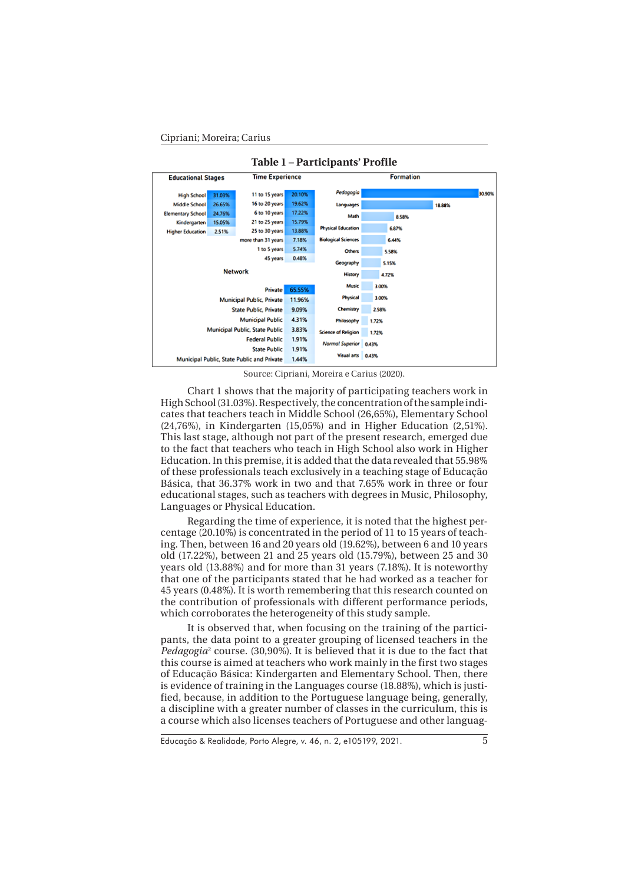#### Cipriani; Moreira; Carius



**Table 1 – Participants' Profile**

Source: Cipriani, Moreira e Carius (2020).

Chart 1 shows that the majority of participating teachers work in High School (31.03%). Respectively, the concentration of the sample indicates that teachers teach in Middle School (26,65%), Elementary School (24,76%), in Kindergarten (15,05%) and in Higher Education (2,51%). This last stage, although not part of the present research, emerged due to the fact that teachers who teach in High School also work in Higher Education. In this premise, it is added that the data revealed that 55.98% of these professionals teach exclusively in a teaching stage of Educação Básica, that 36.37% work in two and that 7.65% work in three or four educational stages, such as teachers with degrees in Music, Philosophy, Languages or Physical Education.

Regarding the time of experience, it is noted that the highest percentage (20.10%) is concentrated in the period of 11 to 15 years of teaching. Then, between 16 and 20 years old (19.62%), between 6 and 10 years old (17.22%), between 21 and 25 years old (15.79%), between 25 and 30 years old (13.88%) and for more than 31 years (7.18%). It is noteworthy that one of the participants stated that he had worked as a teacher for 45 years (0.48%). It is worth remembering that this research counted on the contribution of professionals with different performance periods, which corroborates the heterogeneity of this study sample.

It is observed that, when focusing on the training of the participants, the data point to a greater grouping of licensed teachers in the Pedagogia<sup>2</sup> course. (30,90%). It is believed that it is due to the fact that this course is aimed at teachers who work mainly in the first two stages of Educação Básica: Kindergarten and Elementary School. Then, there is evidence of training in the Languages course (18.88%), which is justified, because, in addition to the Portuguese language being, generally, a discipline with a greater number of classes in the curriculum, this is a course which also licenses teachers of Portuguese and other languag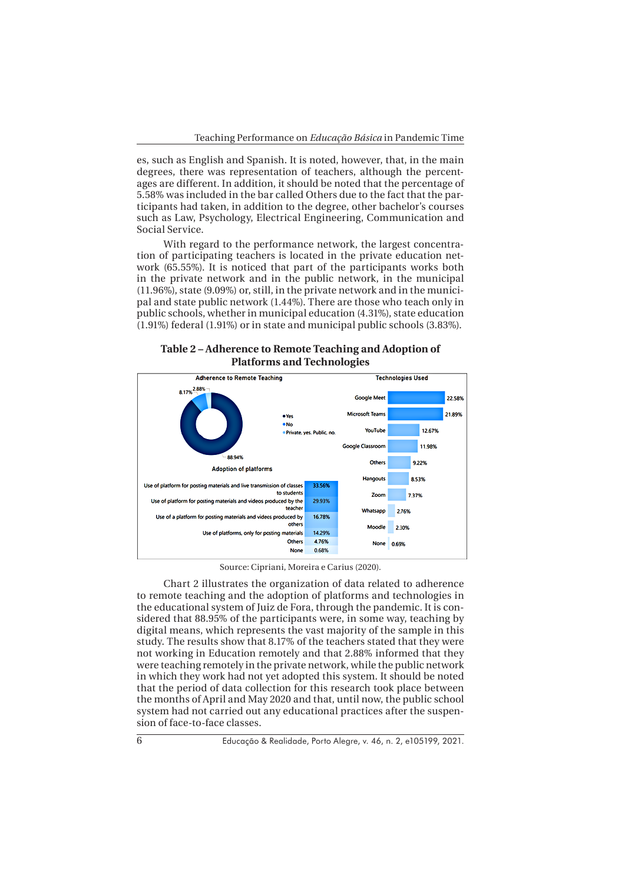es, such as English and Spanish. It is noted, however, that, in the main degrees, there was representation of teachers, although the percentages are different. In addition, it should be noted that the percentage of 5.58% was included in the bar called Others due to the fact that the participants had taken, in addition to the degree, other bachelor's courses such as Law, Psychology, Electrical Engineering, Communication and Social Service.

With regard to the performance network, the largest concentration of participating teachers is located in the private education network (65.55%). It is noticed that part of the participants works both in the private network and in the public network, in the municipal (11.96%), state (9.09%) or, still, in the private network and in the municipal and state public network (1.44%). There are those who teach only in public schools, whether in municipal education (4.31%), state education (1.91%) federal (1.91%) or in state and municipal public schools (3.83%).

**Table 2 – Adherence to Remote Teaching and Adoption of Platforms and Technologies**



Source: Cipriani, Moreira e Carius (2020).

Chart 2 illustrates the organization of data related to adherence to remote teaching and the adoption of platforms and technologies in the educational system of Juiz de Fora, through the pandemic. It is considered that 88.95% of the participants were, in some way, teaching by digital means, which represents the vast majority of the sample in this study. The results show that 8.17% of the teachers stated that they were not working in Education remotely and that 2.88% informed that they were teaching remotely in the private network, while the public network in which they work had not yet adopted this system. It should be noted that the period of data collection for this research took place between the months of April and May 2020 and that, until now, the public school system had not carried out any educational practices after the suspension of face-to-face classes.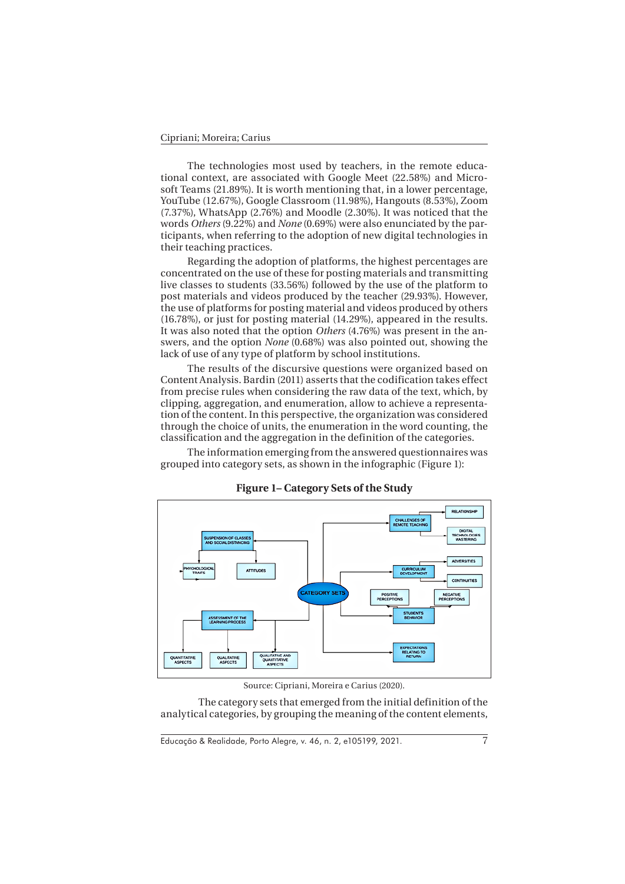The technologies most used by teachers, in the remote educational context, are associated with Google Meet (22.58%) and Microsoft Teams (21.89%). It is worth mentioning that, in a lower percentage, YouTube (12.67%), Google Classroom (11.98%), Hangouts (8.53%), Zoom (7.37%), WhatsApp (2.76%) and Moodle (2.30%). It was noticed that the words *Others* (9.22%) and *None* (0.69%) were also enunciated by the participants, when referring to the adoption of new digital technologies in their teaching practices.

Regarding the adoption of platforms, the highest percentages are concentrated on the use of these for posting materials and transmitting live classes to students (33.56%) followed by the use of the platform to post materials and videos produced by the teacher (29.93%). However, the use of platforms for posting material and videos produced by others (16.78%), or just for posting material (14.29%), appeared in the results. It was also noted that the option *Others* (4.76%) was present in the answers, and the option *None* (0.68%) was also pointed out, showing the lack of use of any type of platform by school institutions.

The results of the discursive questions were organized based on Content Analysis. Bardin (2011) asserts that the codification takes effect from precise rules when considering the raw data of the text, which, by clipping, aggregation, and enumeration, allow to achieve a representation of the content. In this perspective, the organization was considered through the choice of units, the enumeration in the word counting, the classification and the aggregation in the definition of the categories.

The information emerging from the answered questionnaires was grouped into category sets, as shown in the infographic (Figure 1):



**Figure 1– Category Sets of the Study** 

Source: Cipriani, Moreira e Carius (2020).

 The category sets that emerged from the initial definition of the analytical categories, by grouping the meaning of the content elements,

Educação & Realidade, Porto Alegre, v. 46, n. 2, e105199, 2021.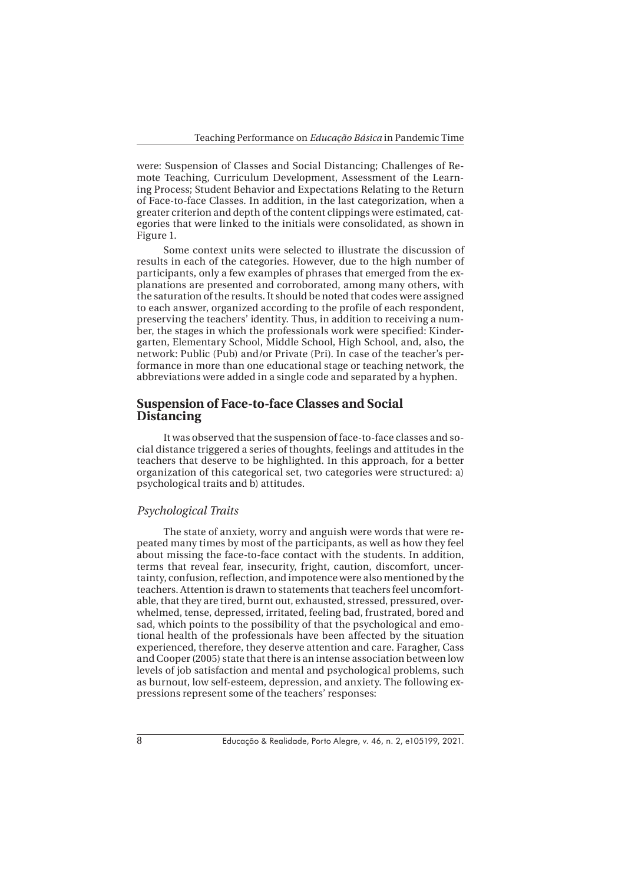were: Suspension of Classes and Social Distancing; Challenges of Remote Teaching, Curriculum Development, Assessment of the Learning Process; Student Behavior and Expectations Relating to the Return of Face-to-face Classes. In addition, in the last categorization, when a greater criterion and depth of the content clippings were estimated, categories that were linked to the initials were consolidated, as shown in Figure 1.

Some context units were selected to illustrate the discussion of results in each of the categories. However, due to the high number of participants, only a few examples of phrases that emerged from the explanations are presented and corroborated, among many others, with the saturation of the results. It should be noted that codes were assigned to each answer, organized according to the profile of each respondent, preserving the teachers' identity. Thus, in addition to receiving a number, the stages in which the professionals work were specified: Kindergarten, Elementary School, Middle School, High School, and, also, the network: Public (Pub) and/or Private (Pri). In case of the teacher's performance in more than one educational stage or teaching network, the abbreviations were added in a single code and separated by a hyphen.

## **Suspension of Face-to-face Classes and Social Distancing**

It was observed that the suspension of face-to-face classes and social distance triggered a series of thoughts, feelings and attitudes in the teachers that deserve to be highlighted. In this approach, for a better organization of this categorical set, two categories were structured: a) psychological traits and b) attitudes.

## *Psychological Traits*

The state of anxiety, worry and anguish were words that were repeated many times by most of the participants, as well as how they feel about missing the face-to-face contact with the students. In addition, terms that reveal fear, insecurity, fright, caution, discomfort, uncertainty, confusion, reflection, and impotence were also mentioned by the teachers. Attention is drawn to statements that teachers feel uncomfortable, that they are tired, burnt out, exhausted, stressed, pressured, overwhelmed, tense, depressed, irritated, feeling bad, frustrated, bored and sad, which points to the possibility of that the psychological and emotional health of the professionals have been affected by the situation experienced, therefore, they deserve attention and care. Faragher, Cass and Cooper (2005) state that there is an intense association between low levels of job satisfaction and mental and psychological problems, such as burnout, low self-esteem, depression, and anxiety. The following expressions represent some of the teachers' responses: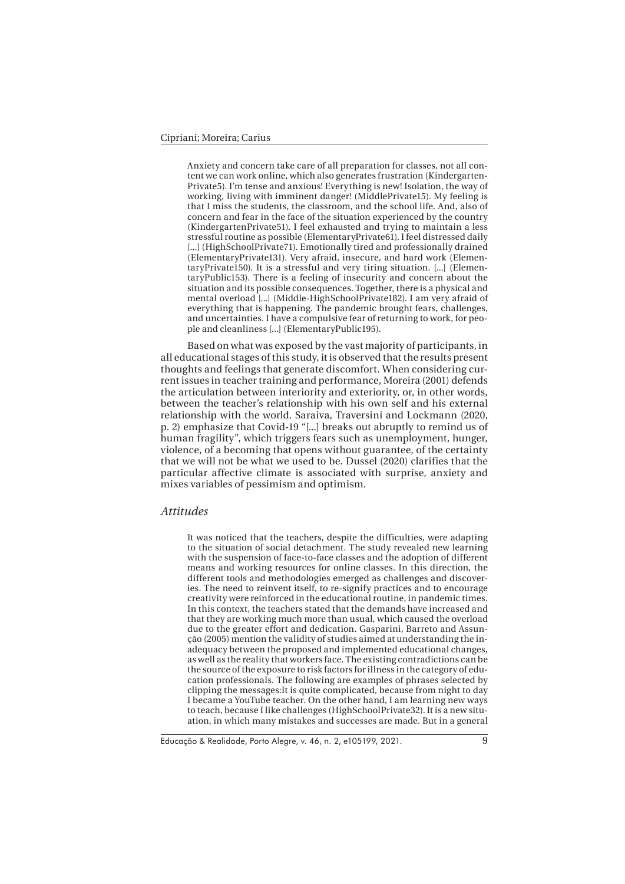Anxiety and concern take care of all preparation for classes, not all content we can work online, which also generates frustration (Kindergarten-Private5). I'm tense and anxious! Everything is new! Isolation, the way of working, living with imminent danger! (MiddlePrivate15). My feeling is that I miss the students, the classroom, and the school life. And, also of concern and fear in the face of the situation experienced by the country (KindergartenPrivate51). I feel exhausted and trying to maintain a less stressful routine as possible (ElementaryPrivate61). I feel distressed daily [...] (HighSchoolPrivate71). Emotionally tired and professionally drained (ElementaryPrivate131). Very afraid, insecure, and hard work (ElementaryPrivate150). It is a stressful and very tiring situation. [...] (ElementaryPublic153). There is a feeling of insecurity and concern about the situation and its possible consequences. Together, there is a physical and mental overload [...] (Middle-HighSchoolPrivate182). I am very afraid of everything that is happening. The pandemic brought fears, challenges, and uncertainties. I have a compulsive fear of returning to work, for people and cleanliness [...] (ElementaryPublic195).

Based on what was exposed by the vast majority of participants, in all educational stages of this study, it is observed that the results present thoughts and feelings that generate discomfort. When considering current issues in teacher training and performance, Moreira (2001) defends the articulation between interiority and exteriority, or, in other words, between the teacher's relationship with his own self and his external relationship with the world. Saraiva, Traversini and Lockmann (2020, p. 2) emphasize that Covid-19 "[...] breaks out abruptly to remind us of human fragility", which triggers fears such as unemployment, hunger, violence, of a becoming that opens without guarantee, of the certainty that we will not be what we used to be. Dussel (2020) clarifies that the particular affective climate is associated with surprise, anxiety and mixes variables of pessimism and optimism.

#### *Attitudes*

It was noticed that the teachers, despite the difficulties, were adapting to the situation of social detachment. The study revealed new learning with the suspension of face-to-face classes and the adoption of different means and working resources for online classes. In this direction, the different tools and methodologies emerged as challenges and discoveries. The need to reinvent itself, to re-signify practices and to encourage creativity were reinforced in the educational routine, in pandemic times. In this context, the teachers stated that the demands have increased and that they are working much more than usual, which caused the overload due to the greater effort and dedication. Gasparini, Barreto and Assunção (2005) mention the validity of studies aimed at understanding the inadequacy between the proposed and implemented educational changes, as well as the reality that workers face. The existing contradictions can be the source of the exposure to risk factors for illness in the category of education professionals. The following are examples of phrases selected by clipping the messages:It is quite complicated, because from night to day I became a YouTube teacher. On the other hand, I am learning new ways to teach, because I like challenges (HighSchoolPrivate32). It is a new situation, in which many mistakes and successes are made. But in a general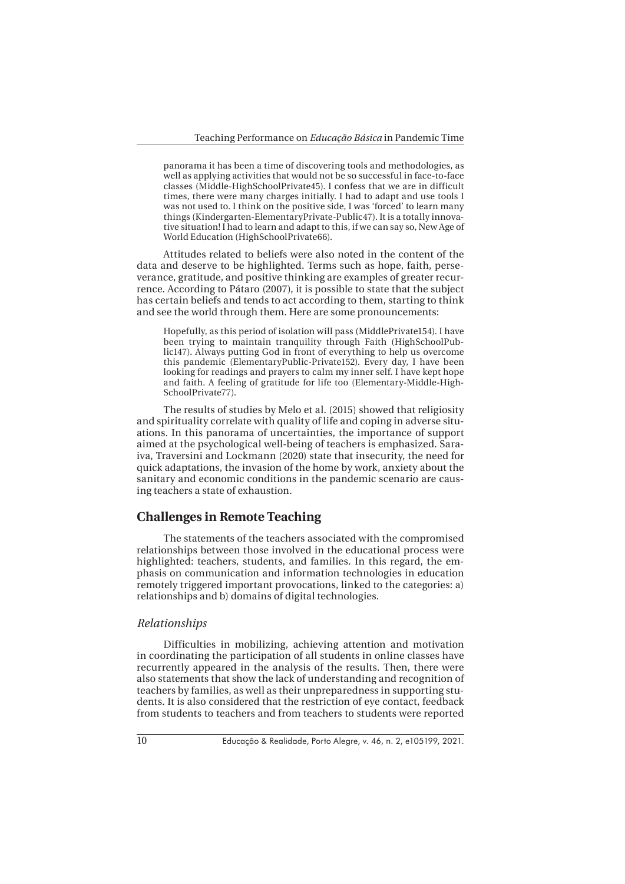panorama it has been a time of discovering tools and methodologies, as well as applying activities that would not be so successful in face-to-face classes (Middle-HighSchoolPrivate45). I confess that we are in difficult times, there were many charges initially. I had to adapt and use tools I was not used to. I think on the positive side, I was 'forced' to learn many things (Kindergarten-ElementaryPrivate-Public47). It is a totally innovative situation! I had to learn and adapt to this, if we can say so, New Age of World Education (HighSchoolPrivate66).

Attitudes related to beliefs were also noted in the content of the data and deserve to be highlighted. Terms such as hope, faith, perseverance, gratitude, and positive thinking are examples of greater recurrence. According to Pátaro (2007), it is possible to state that the subject has certain beliefs and tends to act according to them, starting to think and see the world through them. Here are some pronouncements:

Hopefully, as this period of isolation will pass (MiddlePrivate154). I have been trying to maintain tranquility through Faith (HighSchoolPublic147). Always putting God in front of everything to help us overcome this pandemic (ElementaryPublic-Private152). Every day, I have been looking for readings and prayers to calm my inner self. I have kept hope and faith. A feeling of gratitude for life too (Elementary-Middle-High-SchoolPrivate77).

The results of studies by Melo et al. (2015) showed that religiosity and spirituality correlate with quality of life and coping in adverse situations. In this panorama of uncertainties, the importance of support aimed at the psychological well-being of teachers is emphasized. Saraiva, Traversini and Lockmann (2020) state that insecurity, the need for quick adaptations, the invasion of the home by work, anxiety about the sanitary and economic conditions in the pandemic scenario are causing teachers a state of exhaustion.

## **Challenges in Remote Teaching**

The statements of the teachers associated with the compromised relationships between those involved in the educational process were highlighted: teachers, students, and families. In this regard, the emphasis on communication and information technologies in education remotely triggered important provocations, linked to the categories: a) relationships and b) domains of digital technologies.

#### *Relationships*

Difficulties in mobilizing, achieving attention and motivation in coordinating the participation of all students in online classes have recurrently appeared in the analysis of the results. Then, there were also statements that show the lack of understanding and recognition of teachers by families, as well as their unpreparedness in supporting students. It is also considered that the restriction of eye contact, feedback from students to teachers and from teachers to students were reported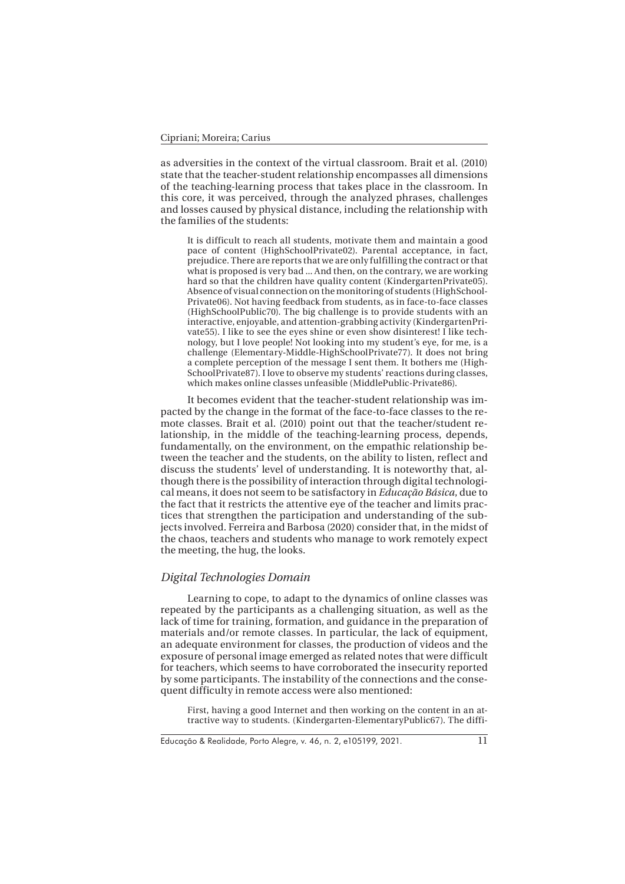as adversities in the context of the virtual classroom. Brait et al. (2010) state that the teacher-student relationship encompasses all dimensions of the teaching-learning process that takes place in the classroom. In this core, it was perceived, through the analyzed phrases, challenges and losses caused by physical distance, including the relationship with the families of the students:

It is difficult to reach all students, motivate them and maintain a good pace of content (HighSchoolPrivate02). Parental acceptance, in fact, prejudice. There are reports that we are only fulfilling the contract or that what is proposed is very bad ... And then, on the contrary, we are working hard so that the children have quality content (KindergartenPrivate05). Absence of visual connection on the monitoring of students (HighSchool-Private06). Not having feedback from students, as in face-to-face classes (HighSchoolPublic70). The big challenge is to provide students with an interactive, enjoyable, and attention-grabbing activity (KindergartenPrivate55). I like to see the eyes shine or even show disinterest! I like technology, but I love people! Not looking into my student's eye, for me, is a challenge (Elementary-Middle-HighSchoolPrivate77). It does not bring a complete perception of the message I sent them. It bothers me (High-SchoolPrivate87). I love to observe my students' reactions during classes, which makes online classes unfeasible (MiddlePublic-Private86).

It becomes evident that the teacher-student relationship was impacted by the change in the format of the face-to-face classes to the remote classes. Brait et al. (2010) point out that the teacher/student relationship, in the middle of the teaching-learning process, depends, fundamentally, on the environment, on the empathic relationship between the teacher and the students, on the ability to listen, reflect and discuss the students' level of understanding. It is noteworthy that, although there is the possibility of interaction through digital technological means, it does not seem to be satisfactory in *Educação Básica*, due to the fact that it restricts the attentive eye of the teacher and limits practices that strengthen the participation and understanding of the subjects involved. Ferreira and Barbosa (2020) consider that, in the midst of the chaos, teachers and students who manage to work remotely expect the meeting, the hug, the looks.

## *Digital Technologies Domain*

Learning to cope, to adapt to the dynamics of online classes was repeated by the participants as a challenging situation, as well as the lack of time for training, formation, and guidance in the preparation of materials and/or remote classes. In particular, the lack of equipment, an adequate environment for classes, the production of videos and the exposure of personal image emerged as related notes that were difficult for teachers, which seems to have corroborated the insecurity reported by some participants. The instability of the connections and the consequent difficulty in remote access were also mentioned:

First, having a good Internet and then working on the content in an attractive way to students. (Kindergarten-ElementaryPublic67). The diffi-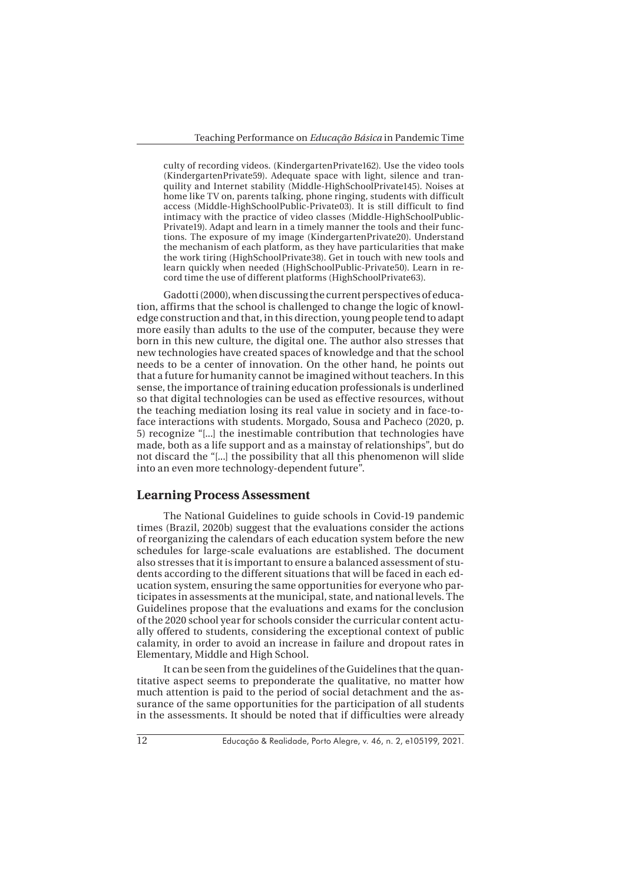culty of recording videos. (KindergartenPrivate162). Use the video tools (KindergartenPrivate59). Adequate space with light, silence and tranquility and Internet stability (Middle-HighSchoolPrivate145). Noises at home like TV on, parents talking, phone ringing, students with difficult access (Middle-HighSchoolPublic-Private03). It is still difficult to find intimacy with the practice of video classes (Middle-HighSchoolPublic-Private19). Adapt and learn in a timely manner the tools and their functions. The exposure of my image (KindergartenPrivate20). Understand the mechanism of each platform, as they have particularities that make the work tiring (HighSchoolPrivate38). Get in touch with new tools and learn quickly when needed (HighSchoolPublic-Private50). Learn in record time the use of different platforms (HighSchoolPrivate63).

Gadotti (2000), when discussing the current perspectives of education, affirms that the school is challenged to change the logic of knowledge construction and that, in this direction, young people tend to adapt more easily than adults to the use of the computer, because they were born in this new culture, the digital one. The author also stresses that new technologies have created spaces of knowledge and that the school needs to be a center of innovation. On the other hand, he points out that a future for humanity cannot be imagined without teachers. In this sense, the importance of training education professionals is underlined so that digital technologies can be used as effective resources, without the teaching mediation losing its real value in society and in face-toface interactions with students. Morgado, Sousa and Pacheco (2020, p. 5) recognize "[...] the inestimable contribution that technologies have made, both as a life support and as a mainstay of relationships", but do not discard the "[...] the possibility that all this phenomenon will slide into an even more technology-dependent future".

#### **Learning Process Assessment**

The National Guidelines to guide schools in Covid-19 pandemic times (Brazil, 2020b) suggest that the evaluations consider the actions of reorganizing the calendars of each education system before the new schedules for large-scale evaluations are established. The document also stresses that it is important to ensure a balanced assessment of students according to the different situations that will be faced in each education system, ensuring the same opportunities for everyone who participates in assessments at the municipal, state, and national levels. The Guidelines propose that the evaluations and exams for the conclusion of the 2020 school year for schools consider the curricular content actually offered to students, considering the exceptional context of public calamity, in order to avoid an increase in failure and dropout rates in Elementary, Middle and High School.

It can be seen from the guidelines of the Guidelines that the quantitative aspect seems to preponderate the qualitative, no matter how much attention is paid to the period of social detachment and the assurance of the same opportunities for the participation of all students in the assessments. It should be noted that if difficulties were already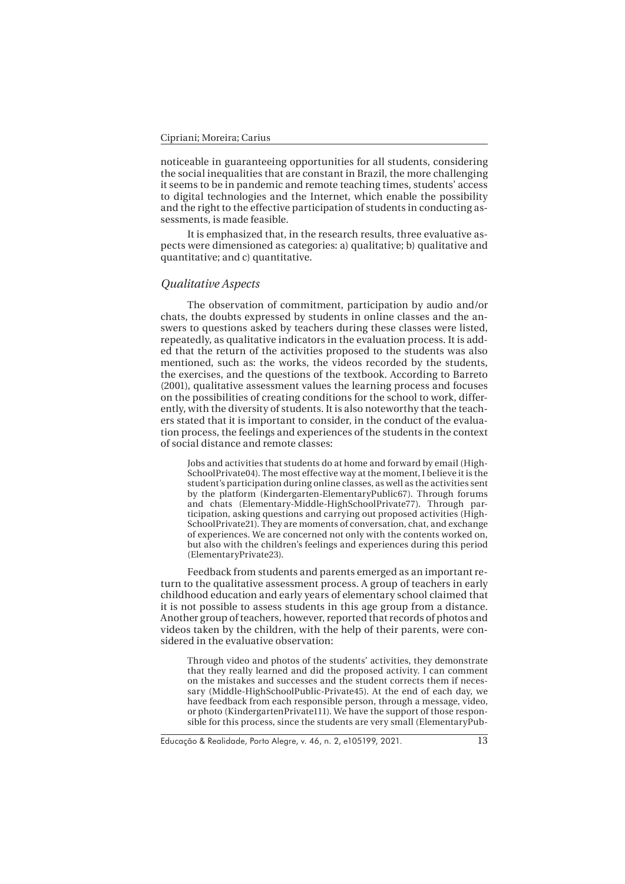noticeable in guaranteeing opportunities for all students, considering the social inequalities that are constant in Brazil, the more challenging it seems to be in pandemic and remote teaching times, students' access to digital technologies and the Internet, which enable the possibility and the right to the effective participation of students in conducting assessments, is made feasible.

It is emphasized that, in the research results, three evaluative aspects were dimensioned as categories: a) qualitative; b) qualitative and quantitative; and c) quantitative.

#### *Qualitative Aspects*

The observation of commitment, participation by audio and/or chats, the doubts expressed by students in online classes and the answers to questions asked by teachers during these classes were listed, repeatedly, as qualitative indicators in the evaluation process. It is added that the return of the activities proposed to the students was also mentioned, such as: the works, the videos recorded by the students, the exercises, and the questions of the textbook. According to Barreto (2001), qualitative assessment values the learning process and focuses on the possibilities of creating conditions for the school to work, differently, with the diversity of students. It is also noteworthy that the teachers stated that it is important to consider, in the conduct of the evaluation process, the feelings and experiences of the students in the context of social distance and remote classes:

Jobs and activities that students do at home and forward by email (High-SchoolPrivate04). The most effective way at the moment, I believe it is the student's participation during online classes, as well as the activities sent by the platform (Kindergarten-ElementaryPublic67). Through forums and chats (Elementary-Middle-HighSchoolPrivate77). Through participation, asking questions and carrying out proposed activities (High-SchoolPrivate21). They are moments of conversation, chat, and exchange of experiences. We are concerned not only with the contents worked on, but also with the children's feelings and experiences during this period (ElementaryPrivate23).

Feedback from students and parents emerged as an important return to the qualitative assessment process. A group of teachers in early childhood education and early years of elementary school claimed that it is not possible to assess students in this age group from a distance. Another group of teachers, however, reported that records of photos and videos taken by the children, with the help of their parents, were considered in the evaluative observation:

Through video and photos of the students' activities, they demonstrate that they really learned and did the proposed activity. I can comment on the mistakes and successes and the student corrects them if necessary (Middle-HighSchoolPublic-Private45). At the end of each day, we have feedback from each responsible person, through a message, video, or photo (KindergartenPrivate111). We have the support of those responsible for this process, since the students are very small (ElementaryPub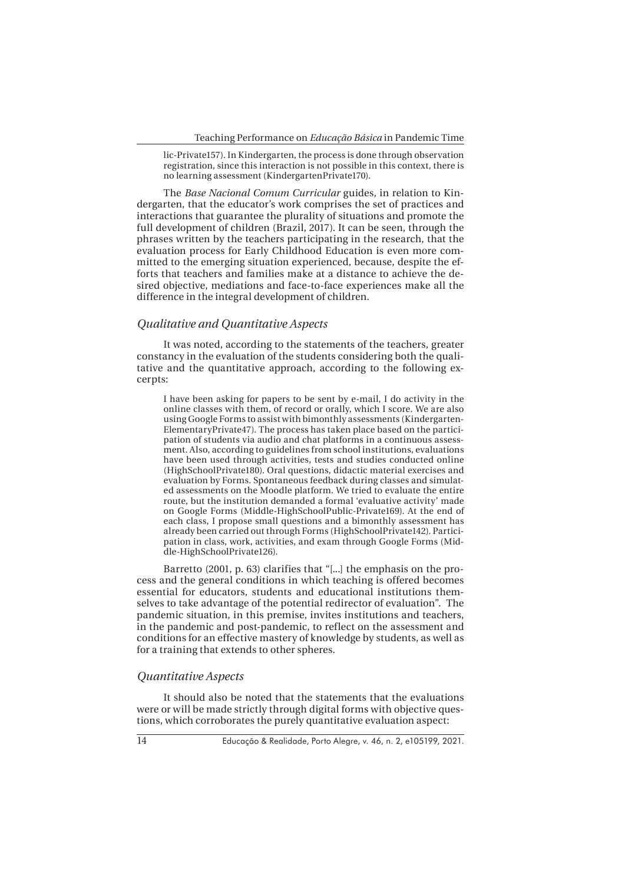Teaching Performance on *Educação Básica* in Pandemic Time

lic-Private157). In Kindergarten, the process is done through observation registration, since this interaction is not possible in this context, there is no learning assessment (KindergartenPrivate170).

The *Base Nacional Comum Curricular* guides, in relation to Kindergarten, that the educator's work comprises the set of practices and interactions that guarantee the plurality of situations and promote the full development of children (Brazil, 2017). It can be seen, through the phrases written by the teachers participating in the research, that the evaluation process for Early Childhood Education is even more committed to the emerging situation experienced, because, despite the efforts that teachers and families make at a distance to achieve the desired objective, mediations and face-to-face experiences make all the difference in the integral development of children.

#### *Qualitative and Quantitative Aspects*

It was noted, according to the statements of the teachers, greater constancy in the evaluation of the students considering both the qualitative and the quantitative approach, according to the following excerpts:

I have been asking for papers to be sent by e-mail, I do activity in the online classes with them, of record or orally, which I score. We are also using Google Forms to assist with bimonthly assessments (Kindergarten-ElementaryPrivate47). The process has taken place based on the participation of students via audio and chat platforms in a continuous assessment. Also, according to guidelines from school institutions, evaluations have been used through activities, tests and studies conducted online (HighSchoolPrivate180). Oral questions, didactic material exercises and evaluation by Forms. Spontaneous feedback during classes and simulated assessments on the Moodle platform. We tried to evaluate the entire route, but the institution demanded a formal 'evaluative activity' made on Google Forms (Middle-HighSchoolPublic-Private169). At the end of each class, I propose small questions and a bimonthly assessment has already been carried out through Forms (HighSchoolPrivate142). Participation in class, work, activities, and exam through Google Forms (Middle-HighSchoolPrivate126).

Barretto (2001, p. 63) clarifies that "[...] the emphasis on the process and the general conditions in which teaching is offered becomes essential for educators, students and educational institutions themselves to take advantage of the potential redirector of evaluation". The pandemic situation, in this premise, invites institutions and teachers, in the pandemic and post-pandemic, to reflect on the assessment and conditions for an effective mastery of knowledge by students, as well as for a training that extends to other spheres.

## *Quantitative Aspects*

It should also be noted that the statements that the evaluations were or will be made strictly through digital forms with objective questions, which corroborates the purely quantitative evaluation aspect: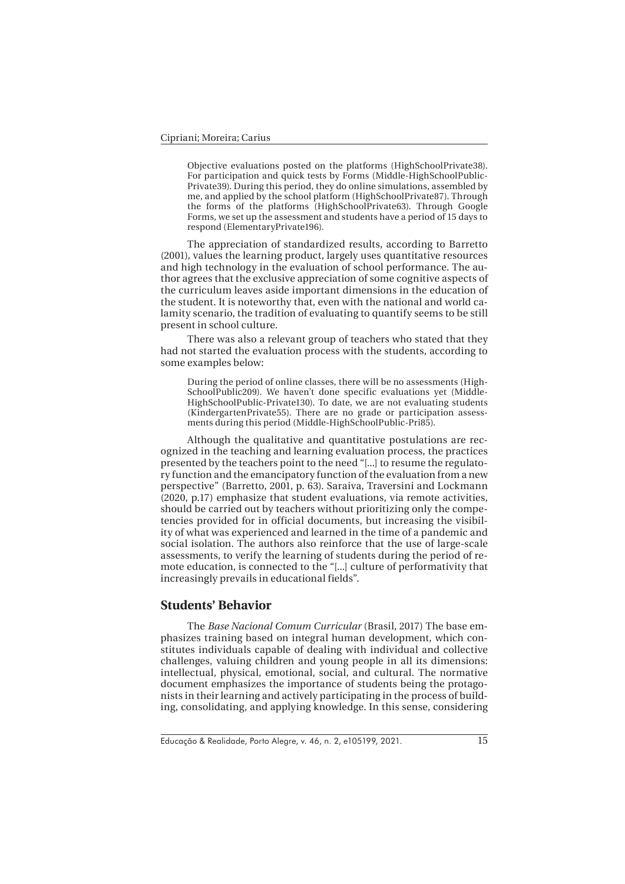Objective evaluations posted on the platforms (HighSchoolPrivate38). For participation and quick tests by Forms (Middle-HighSchoolPublic-Private39). During this period, they do online simulations, assembled by me, and applied by the school platform (HighSchoolPrivate87). Through the forms of the platforms (HighSchoolPrivate63). Through Google Forms, we set up the assessment and students have a period of 15 days to respond (ElementaryPrivate196).

The appreciation of standardized results, according to Barretto (2001), values the learning product, largely uses quantitative resources and high technology in the evaluation of school performance. The author agrees that the exclusive appreciation of some cognitive aspects of the curriculum leaves aside important dimensions in the education of the student. It is noteworthy that, even with the national and world calamity scenario, the tradition of evaluating to quantify seems to be still present in school culture.

There was also a relevant group of teachers who stated that they had not started the evaluation process with the students, according to some examples below:

During the period of online classes, there will be no assessments (High-SchoolPublic209). We haven't done specific evaluations yet (Middle-HighSchoolPublic-Private130). To date, we are not evaluating students (KindergartenPrivate55). There are no grade or participation assessments during this period (Middle-HighSchoolPublic-Pri85).

Although the qualitative and quantitative postulations are recognized in the teaching and learning evaluation process, the practices presented by the teachers point to the need "[...] to resume the regulatory function and the emancipatory function of the evaluation from a new perspective" (Barretto, 2001, p. 63). Saraiva, Traversini and Lockmann (2020, p.17) emphasize that student evaluations, via remote activities, should be carried out by teachers without prioritizing only the competencies provided for in official documents, but increasing the visibility of what was experienced and learned in the time of a pandemic and social isolation. The authors also reinforce that the use of large-scale assessments, to verify the learning of students during the period of remote education, is connected to the "[...] culture of performativity that increasingly prevails in educational fields".

## **Students' Behavior**

The *Base Nacional Comum Curricular* (Brasil, 2017) The base emphasizes training based on integral human development, which constitutes individuals capable of dealing with individual and collective challenges, valuing children and young people in all its dimensions: intellectual, physical, emotional, social, and cultural. The normative document emphasizes the importance of students being the protagonists in their learning and actively participating in the process of building, consolidating, and applying knowledge. In this sense, considering

Educação & Realidade, Porto Alegre, v. 46, n. 2, e105199, 2021.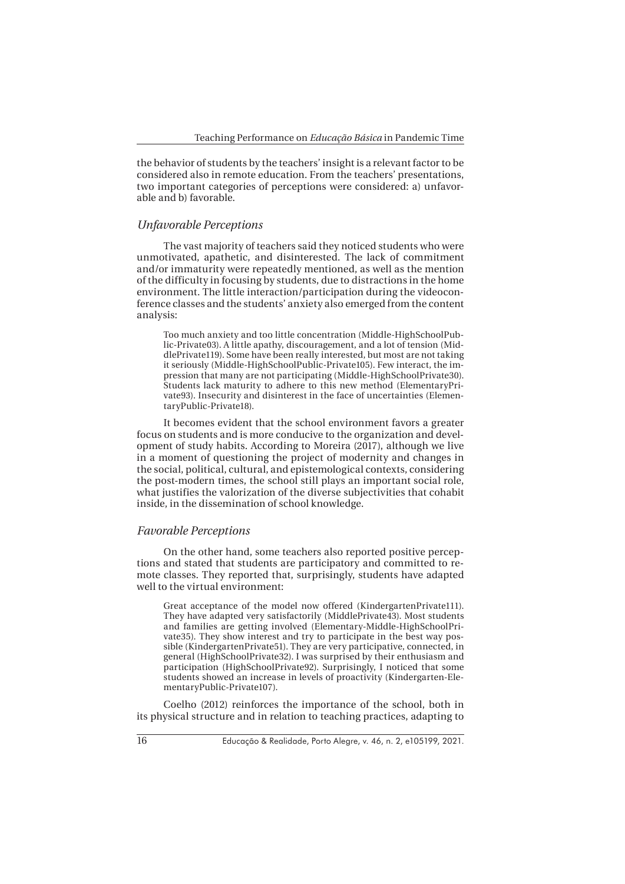the behavior of students by the teachers' insight is a relevant factor to be considered also in remote education. From the teachers' presentations, two important categories of perceptions were considered: a) unfavorable and b) favorable.

## *Unfavorable Perceptions*

The vast majority of teachers said they noticed students who were unmotivated, apathetic, and disinterested. The lack of commitment and/or immaturity were repeatedly mentioned, as well as the mention of the difficulty in focusing by students, due to distractions in the home environment. The little interaction/participation during the videoconference classes and the students' anxiety also emerged from the content analysis:

Too much anxiety and too little concentration (Middle-HighSchoolPublic-Private03). A little apathy, discouragement, and a lot of tension (MiddlePrivate119). Some have been really interested, but most are not taking it seriously (Middle-HighSchoolPublic-Private105). Few interact, the impression that many are not participating (Middle-HighSchoolPrivate30). Students lack maturity to adhere to this new method (ElementaryPrivate93). Insecurity and disinterest in the face of uncertainties (ElementaryPublic-Private18).

It becomes evident that the school environment favors a greater focus on students and is more conducive to the organization and development of study habits. According to Moreira (2017), although we live in a moment of questioning the project of modernity and changes in the social, political, cultural, and epistemological contexts, considering the post-modern times, the school still plays an important social role, what justifies the valorization of the diverse subjectivities that cohabit inside, in the dissemination of school knowledge.

#### *Favorable Perceptions*

On the other hand, some teachers also reported positive perceptions and stated that students are participatory and committed to remote classes. They reported that, surprisingly, students have adapted well to the virtual environment:

Great acceptance of the model now offered (KindergartenPrivate111). They have adapted very satisfactorily (MiddlePrivate43). Most students and families are getting involved (Elementary-Middle-HighSchoolPrivate35). They show interest and try to participate in the best way possible (KindergartenPrivate51). They are very participative, connected, in general (HighSchoolPrivate32). I was surprised by their enthusiasm and participation (HighSchoolPrivate92). Surprisingly, I noticed that some students showed an increase in levels of proactivity (Kindergarten-ElementaryPublic-Private107).

Coelho (2012) reinforces the importance of the school, both in its physical structure and in relation to teaching practices, adapting to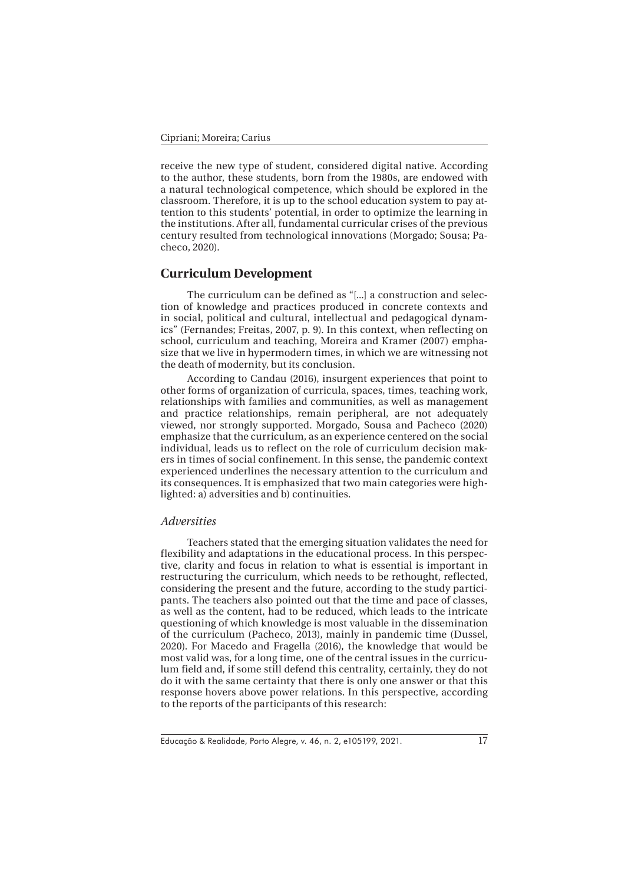receive the new type of student, considered digital native. According to the author, these students, born from the 1980s, are endowed with a natural technological competence, which should be explored in the classroom. Therefore, it is up to the school education system to pay attention to this students' potential, in order to optimize the learning in the institutions. After all, fundamental curricular crises of the previous century resulted from technological innovations (Morgado; Sousa; Pacheco, 2020).

## **Curriculum Development**

The curriculum can be defined as "[...] a construction and selection of knowledge and practices produced in concrete contexts and in social, political and cultural, intellectual and pedagogical dynamics" (Fernandes; Freitas, 2007, p. 9). In this context, when reflecting on school, curriculum and teaching, Moreira and Kramer (2007) emphasize that we live in hypermodern times, in which we are witnessing not the death of modernity, but its conclusion.

According to Candau (2016), insurgent experiences that point to other forms of organization of curricula, spaces, times, teaching work, relationships with families and communities, as well as management and practice relationships, remain peripheral, are not adequately viewed, nor strongly supported. Morgado, Sousa and Pacheco (2020) emphasize that the curriculum, as an experience centered on the social individual, leads us to reflect on the role of curriculum decision makers in times of social confinement. In this sense, the pandemic context experienced underlines the necessary attention to the curriculum and its consequences. It is emphasized that two main categories were highlighted: a) adversities and b) continuities.

#### *Adversities*

Teachers stated that the emerging situation validates the need for flexibility and adaptations in the educational process. In this perspective, clarity and focus in relation to what is essential is important in restructuring the curriculum, which needs to be rethought, reflected, considering the present and the future, according to the study participants. The teachers also pointed out that the time and pace of classes, as well as the content, had to be reduced, which leads to the intricate questioning of which knowledge is most valuable in the dissemination of the curriculum (Pacheco, 2013), mainly in pandemic time (Dussel, 2020). For Macedo and Fragella (2016), the knowledge that would be most valid was, for a long time, one of the central issues in the curriculum field and, if some still defend this centrality, certainly, they do not do it with the same certainty that there is only one answer or that this response hovers above power relations. In this perspective, according to the reports of the participants of this research:

Educação & Realidade, Porto Alegre, v. 46, n. 2, e105199, 2021.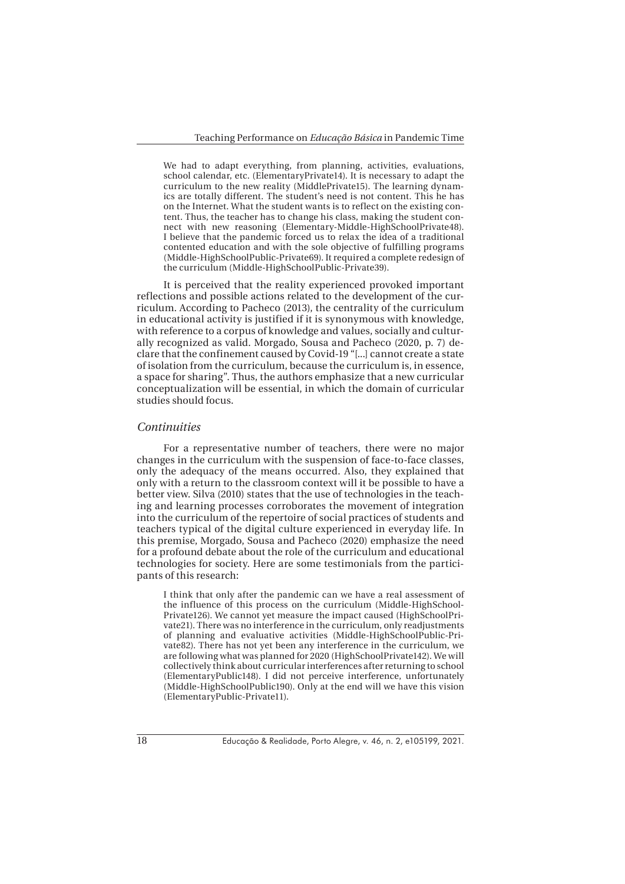We had to adapt everything, from planning, activities, evaluations, school calendar, etc. (ElementaryPrivate14). It is necessary to adapt the curriculum to the new reality (MiddlePrivate15). The learning dynamics are totally different. The student's need is not content. This he has on the Internet. What the student wants is to reflect on the existing content. Thus, the teacher has to change his class, making the student connect with new reasoning (Elementary-Middle-HighSchoolPrivate48). I believe that the pandemic forced us to relax the idea of a traditional contented education and with the sole objective of fulfilling programs (Middle-HighSchoolPublic-Private69). It required a complete redesign of the curriculum (Middle-HighSchoolPublic-Private39).

It is perceived that the reality experienced provoked important reflections and possible actions related to the development of the curriculum. According to Pacheco (2013), the centrality of the curriculum in educational activity is justified if it is synonymous with knowledge, with reference to a corpus of knowledge and values, socially and culturally recognized as valid. Morgado, Sousa and Pacheco (2020, p. 7) declare that the confinement caused by Covid-19 "[...] cannot create a state of isolation from the curriculum, because the curriculum is, in essence, a space for sharing". Thus, the authors emphasize that a new curricular conceptualization will be essential, in which the domain of curricular studies should focus.

#### *Continuities*

For a representative number of teachers, there were no major changes in the curriculum with the suspension of face-to-face classes, only the adequacy of the means occurred. Also, they explained that only with a return to the classroom context will it be possible to have a better view. Silva (2010) states that the use of technologies in the teaching and learning processes corroborates the movement of integration into the curriculum of the repertoire of social practices of students and teachers typical of the digital culture experienced in everyday life. In this premise, Morgado, Sousa and Pacheco (2020) emphasize the need for a profound debate about the role of the curriculum and educational technologies for society. Here are some testimonials from the participants of this research:

I think that only after the pandemic can we have a real assessment of the influence of this process on the curriculum (Middle-HighSchool-Private126). We cannot yet measure the impact caused (HighSchoolPrivate21). There was no interference in the curriculum, only readjustments of planning and evaluative activities (Middle-HighSchoolPublic-Private82). There has not yet been any interference in the curriculum, we are following what was planned for 2020 (HighSchoolPrivate142). We will collectively think about curricular interferences after returning to school (ElementaryPublic148). I did not perceive interference, unfortunately (Middle-HighSchoolPublic190). Only at the end will we have this vision (ElementaryPublic-Private11).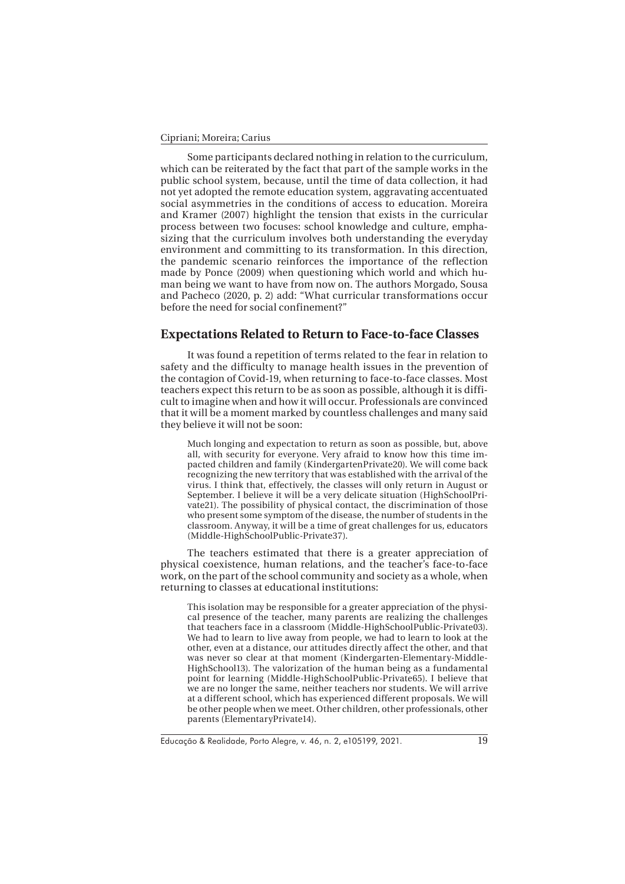Some participants declared nothing in relation to the curriculum, which can be reiterated by the fact that part of the sample works in the public school system, because, until the time of data collection, it had not yet adopted the remote education system, aggravating accentuated social asymmetries in the conditions of access to education. Moreira and Kramer (2007) highlight the tension that exists in the curricular process between two focuses: school knowledge and culture, emphasizing that the curriculum involves both understanding the everyday environment and committing to its transformation. In this direction, the pandemic scenario reinforces the importance of the reflection made by Ponce (2009) when questioning which world and which human being we want to have from now on. The authors Morgado, Sousa and Pacheco (2020, p. 2) add: "What curricular transformations occur before the need for social confinement?"

## **Expectations Related to Return to Face-to-face Classes**

It was found a repetition of terms related to the fear in relation to safety and the difficulty to manage health issues in the prevention of the contagion of Covid-19, when returning to face-to-face classes. Most teachers expect this return to be as soon as possible, although it is difficult to imagine when and how it will occur. Professionals are convinced that it will be a moment marked by countless challenges and many said they believe it will not be soon:

Much longing and expectation to return as soon as possible, but, above all, with security for everyone. Very afraid to know how this time impacted children and family (KindergartenPrivate20). We will come back recognizing the new territory that was established with the arrival of the virus. I think that, effectively, the classes will only return in August or September. I believe it will be a very delicate situation (HighSchoolPrivate21). The possibility of physical contact, the discrimination of those who present some symptom of the disease, the number of students in the classroom. Anyway, it will be a time of great challenges for us, educators (Middle-HighSchoolPublic-Private37).

The teachers estimated that there is a greater appreciation of physical coexistence, human relations, and the teacher's face-to-face work, on the part of the school community and society as a whole, when returning to classes at educational institutions:

This isolation may be responsible for a greater appreciation of the physical presence of the teacher, many parents are realizing the challenges that teachers face in a classroom (Middle-HighSchoolPublic-Private03). We had to learn to live away from people, we had to learn to look at the other, even at a distance, our attitudes directly affect the other, and that was never so clear at that moment (Kindergarten-Elementary-Middle-HighSchool13). The valorization of the human being as a fundamental point for learning (Middle-HighSchoolPublic-Private65). I believe that we are no longer the same, neither teachers nor students. We will arrive at a different school, which has experienced different proposals. We will be other people when we meet. Other children, other professionals, other parents (ElementaryPrivate14).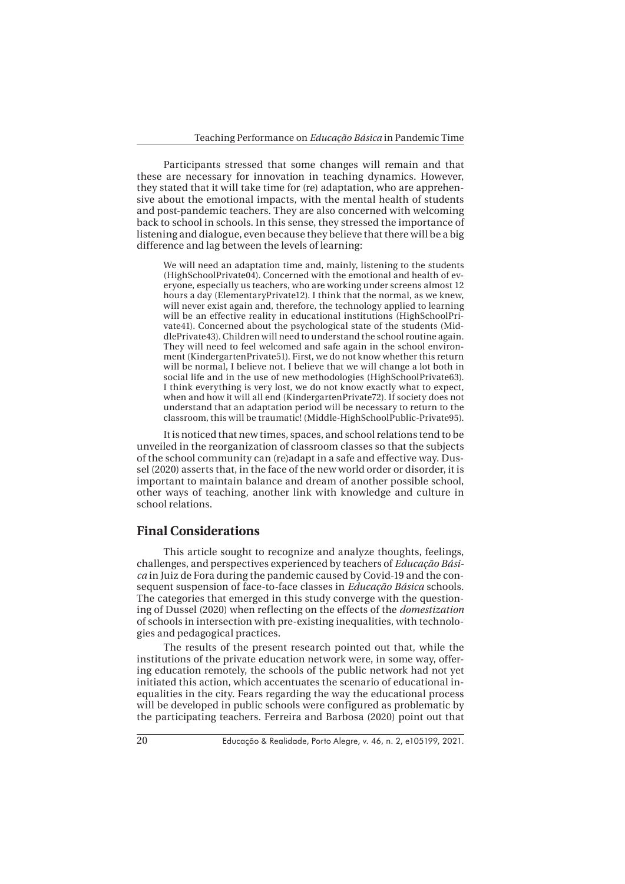Participants stressed that some changes will remain and that these are necessary for innovation in teaching dynamics. However, they stated that it will take time for (re) adaptation, who are apprehensive about the emotional impacts, with the mental health of students and post-pandemic teachers. They are also concerned with welcoming back to school in schools. In this sense, they stressed the importance of listening and dialogue, even because they believe that there will be a big difference and lag between the levels of learning:

We will need an adaptation time and, mainly, listening to the students (HighSchoolPrivate04). Concerned with the emotional and health of everyone, especially us teachers, who are working under screens almost 12 hours a day (ElementaryPrivate12). I think that the normal, as we knew, will never exist again and, therefore, the technology applied to learning will be an effective reality in educational institutions (HighSchoolPrivate41). Concerned about the psychological state of the students (MiddlePrivate43). Children will need to understand the school routine again. They will need to feel welcomed and safe again in the school environment (KindergartenPrivate51). First, we do not know whether this return will be normal, I believe not. I believe that we will change a lot both in social life and in the use of new methodologies (HighSchoolPrivate63). I think everything is very lost, we do not know exactly what to expect, when and how it will all end (KindergartenPrivate72). If society does not understand that an adaptation period will be necessary to return to the classroom, this will be traumatic! (Middle-HighSchoolPublic-Private95).

It is noticed that new times, spaces, and school relations tend to be unveiled in the reorganization of classroom classes so that the subjects of the school community can (re)adapt in a safe and effective way. Dussel (2020) asserts that, in the face of the new world order or disorder, it is important to maintain balance and dream of another possible school, other ways of teaching, another link with knowledge and culture in school relations.

## **Final Considerations**

This article sought to recognize and analyze thoughts, feelings, challenges, and perspectives experienced by teachers of *Educação Básica* in Juiz de Fora during the pandemic caused by Covid-19 and the consequent suspension of face-to-face classes in *Educação Básica* schools. The categories that emerged in this study converge with the questioning of Dussel (2020) when reflecting on the effects of the *domestization* of schools in intersection with pre-existing inequalities, with technologies and pedagogical practices.

The results of the present research pointed out that, while the institutions of the private education network were, in some way, offering education remotely, the schools of the public network had not yet initiated this action, which accentuates the scenario of educational inequalities in the city. Fears regarding the way the educational process will be developed in public schools were configured as problematic by the participating teachers. Ferreira and Barbosa (2020) point out that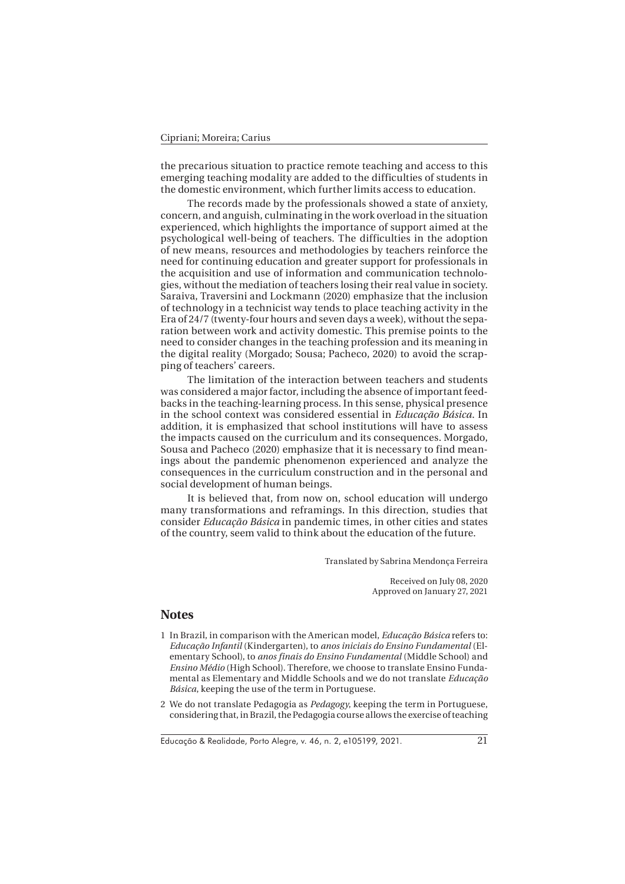the precarious situation to practice remote teaching and access to this emerging teaching modality are added to the difficulties of students in the domestic environment, which further limits access to education.

The records made by the professionals showed a state of anxiety, concern, and anguish, culminating in the work overload in the situation experienced, which highlights the importance of support aimed at the psychological well-being of teachers. The difficulties in the adoption of new means, resources and methodologies by teachers reinforce the need for continuing education and greater support for professionals in the acquisition and use of information and communication technologies, without the mediation of teachers losing their real value in society. Saraiva, Traversini and Lockmann (2020) emphasize that the inclusion of technology in a technicist way tends to place teaching activity in the Era of 24/7 (twenty-four hours and seven days a week), without the separation between work and activity domestic. This premise points to the need to consider changes in the teaching profession and its meaning in the digital reality (Morgado; Sousa; Pacheco, 2020) to avoid the scrapping of teachers' careers.

The limitation of the interaction between teachers and students was considered a major factor, including the absence of important feedbacks in the teaching-learning process. In this sense, physical presence in the school context was considered essential in *Educação Básica*. In addition, it is emphasized that school institutions will have to assess the impacts caused on the curriculum and its consequences. Morgado, Sousa and Pacheco (2020) emphasize that it is necessary to find meanings about the pandemic phenomenon experienced and analyze the consequences in the curriculum construction and in the personal and social development of human beings.

It is believed that, from now on, school education will undergo many transformations and reframings. In this direction, studies that consider *Educação Básica* in pandemic times, in other cities and states of the country, seem valid to think about the education of the future.

Translated by Sabrina Mendonça Ferreira

Received on July 08, 2020 Approved on January 27, 2021

#### **Notes**

1 In Brazil, in comparison with the American model, *Educação Básica* refers to: *Educação Infantil* (Kindergarten), to *anos iniciais do Ensino Fundamental* (Elementary School), to *anos finais do Ensino Fundamental* (Middle School) and *Ensino Médio* (High School). Therefore, we choose to translate Ensino Fundamental as Elementary and Middle Schools and we do not translate *Educação Básica*, keeping the use of the term in Portuguese.

2 We do not translate Pedagogia as *Pedagogy*, keeping the term in Portuguese, considering that, in Brazil, the Pedagogia course allows the exercise of teaching

Educação & Realidade, Porto Alegre, v. 46, n. 2, e105199, 2021.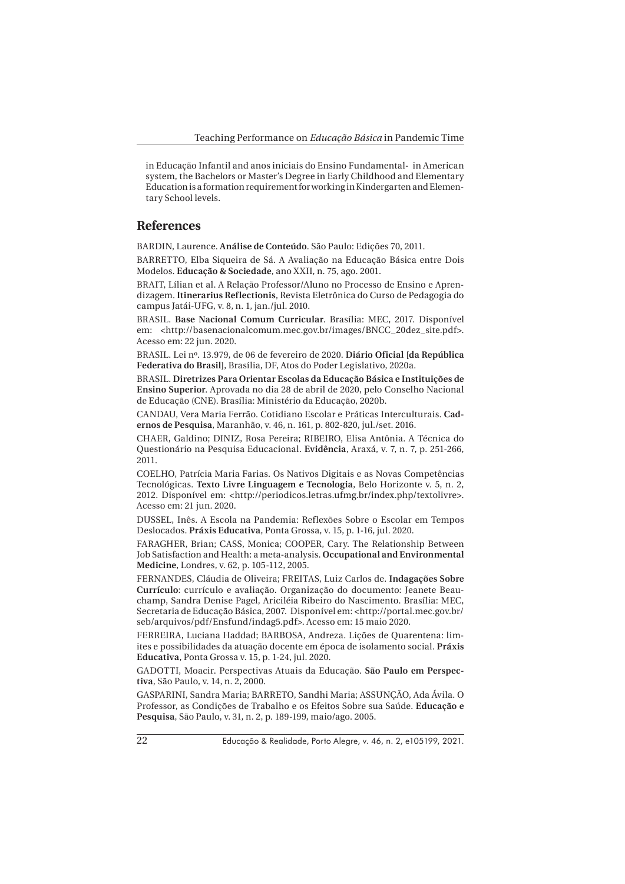in Educação Infantil and anos iniciais do Ensino Fundamental- in American system, the Bachelors or Master's Degree in Early Childhood and Elementary Education is a formation requirement for working in Kindergarten and Elementary School levels.

# **References**

BARDIN, Laurence. **Análise de Conteúdo**. São Paulo: Edições 70, 2011.

BARRETTO, Elba Siqueira de Sá. A Avaliação na Educação Básica entre Dois Modelos. **Educação & Sociedade**, ano XXII, n. 75, ago. 2001.

BRAIT, Lílian et al. A Relação Professor/Aluno no Processo de Ensino e Aprendizagem. **Itinerarius Reflectionis**, Revista Eletrônica do Curso de Pedagogia do campus Jatái-UFG, v. 8, n. 1, jan./jul. 2010.

BRASIL. **Base Nacional Comum Curricular**. Brasília: MEC, 2017. Disponível em: <http://basenacionalcomum.mec.gov.br/images/BNCC\_20dez\_site.pdf>. Acesso em: 22 jun. 2020.

BRASIL. Lei nº. 13.979, de 06 de fevereiro de 2020. **Diário Oficial [da República Federativa do Brasil]**, Brasília, DF, Atos do Poder Legislativo, 2020a.

BRASIL. **Diretrizes Para Orientar Escolas da Educação Básica e Instituições de Ensino Superior**. Aprovada no dia 28 de abril de 2020, pelo Conselho Nacional de Educação (CNE). Brasília: Ministério da Educação, 2020b.

CANDAU, Vera Maria Ferrão. Cotidiano Escolar e Práticas Interculturais. **Cadernos de Pesquisa**, Maranhão, v. 46, n. 161, p. 802-820, jul./set. 2016.

CHAER, Galdino; DINIZ, Rosa Pereira; RIBEIRO, Elisa Antônia. A Técnica do Questionário na Pesquisa Educacional. **Evidência**, Araxá, v. 7, n. 7, p. 251-266, 2011.

COELHO, Patrícia Maria Farias. Os Nativos Digitais e as Novas Competências Tecnológicas. **Texto Livre Linguagem e Tecnologia**, Belo Horizonte v. 5, n. 2, 2012. Disponível em: <http://periodicos.letras.ufmg.br/index.php/textolivre>. Acesso em: 21 jun. 2020.

DUSSEL, Inês. A Escola na Pandemia: Reflexões Sobre o Escolar em Tempos Deslocados. **Práxis Educativa**, Ponta Grossa, v. 15, p. 1-16, jul. 2020.

FARAGHER, Brian; CASS, Monica; COOPER, Cary. The Relationship Between Job Satisfaction and Health: a meta-analysis. **Occupational and Environmental Medicine**, Londres, v. 62, p. 105-112, 2005.

FERNANDES, Cláudia de Oliveira; FREITAS, Luiz Carlos de. **Indagações Sobre Currículo**: currículo e avaliação. Organização do documento: Jeanete Beauchamp, Sandra Denise Pagel, Ariciléia Ribeiro do Nascimento. Brasília: MEC, Secretaria de Educação Básica, 2007. Disponível em: <http://portal.mec.gov.br/ seb/arquivos/pdf/Ensfund/indag5.pdf>. Acesso em: 15 maio 2020.

FERREIRA, Luciana Haddad; BARBOSA, Andreza. Lições de Quarentena: limites e possibilidades da atuação docente em época de isolamento social. **Práxis Educativa**, Ponta Grossa v. 15, p. 1-24, jul. 2020.

GADOTTI, Moacir. Perspectivas Atuais da Educação. **São Paulo em Perspectiva**, São Paulo, v. 14, n. 2, 2000.

GASPARINI, Sandra Maria; BARRETO, Sandhi Maria; ASSUNÇÃO, Ada Ávila. O Professor, as Condições de Trabalho e os Efeitos Sobre sua Saúde. **Educação e Pesquisa**, São Paulo, v. 31, n. 2, p. 189-199, maio/ago. 2005.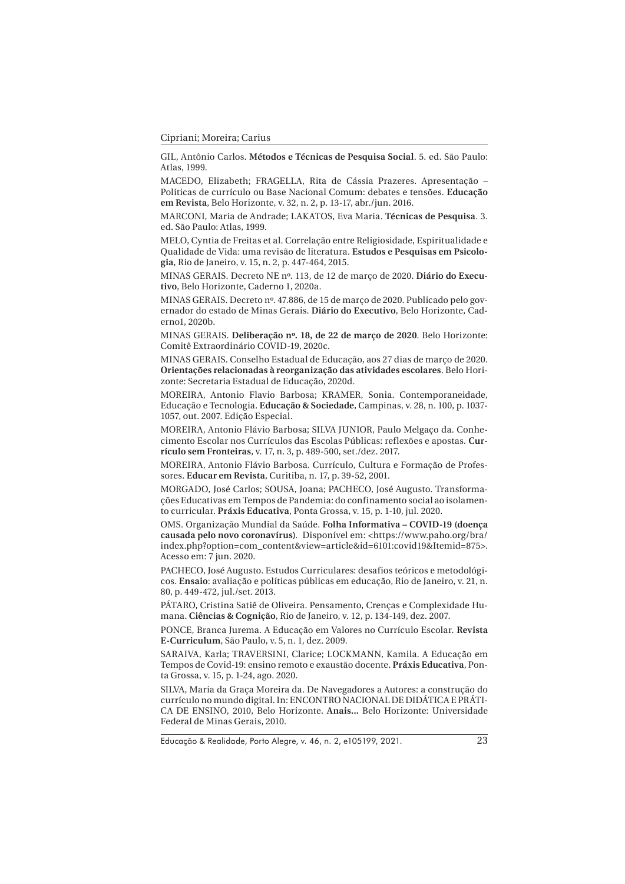#### Cipriani; Moreira; Carius

GIL, Antônio Carlos. **Métodos e Técnicas de Pesquisa Social**. 5. ed. São Paulo: Atlas, 1999.

MACEDO, Elizabeth; FRAGELLA, Rita de Cássia Prazeres. Apresentação – Políticas de currículo ou Base Nacional Comum: debates e tensões. **Educação em Revista**, Belo Horizonte, v. 32, n. 2, p. 13-17, abr./jun. 2016.

MARCONI, Maria de Andrade; LAKATOS, Eva Maria. **Técnicas de Pesquisa**. 3. ed. São Paulo: Atlas, 1999.

MELO, Cyntia de Freitas et al. Correlação entre Religiosidade, Espiritualidade e Qualidade de Vida: uma revisão de literatura. **Estudos e Pesquisas em Psicologia**, Rio de Janeiro, v. 15, n. 2, p. 447-464, 2015.

MINAS GERAIS. Decreto NE nº. 113, de 12 de março de 2020. **Diário do Executivo**, Belo Horizonte, Caderno 1, 2020a.

MINAS GERAIS. Decreto nº. 47.886, de 15 de março de 2020. Publicado pelo governador do estado de Minas Gerais. **Diário do Executivo**, Belo Horizonte, Caderno1, 2020b.

MINAS GERAIS. **Deliberação nº. 18, de 22 de março de 2020**. Belo Horizonte: Comitê Extraordinário COVID-19, 2020c.

MINAS GERAIS. Conselho Estadual de Educação, aos 27 dias de março de 2020. **Orientações relacionadas à reorganização das atividades escolares**. Belo Horizonte: Secretaria Estadual de Educação, 2020d.

MOREIRA, Antonio Flavio Barbosa; KRAMER, Sonia. Contemporaneidade, Educação e Tecnologia. **Educação & Sociedade***,* Campinas, v. 28, n. 100, p. 1037- 1057, out. 2007. Edição Especial.

MOREIRA, Antonio Flávio Barbosa; SILVA JUNIOR, Paulo Melgaço da. Conhecimento Escolar nos Currículos das Escolas Públicas: reflexões e apostas. **Currículo sem Fronteiras**, v. 17, n. 3, p. 489-500, set./dez. 2017.

MOREIRA, Antonio Flávio Barbosa. Currículo, Cultura e Formação de Professores. **Educar em Revista**, Curitiba, n. 17, p. 39-52, 2001.

MORGADO, José Carlos; SOUSA, Joana; PACHECO, José Augusto. Transformações Educativas em Tempos de Pandemia: do confinamento social ao isolamento curricular. **Práxis Educativa**, Ponta Grossa, v. 15, p. 1-10, jul. 2020.

OMS. Organização Mundial da Saúde. **Folha Informativa – COVID-19 (doença causada pelo novo coronavírus)**. Disponível em: <https://www.paho.org/bra/ index.php?option=com\_content&view=article&id=6101:covid19&Itemid=875>. Acesso em: 7 jun. 2020.

PACHECO, José Augusto. Estudos Curriculares: desafios teóricos e metodológicos. **Ensaio**: avaliação e políticas públicas em educação, Rio de Janeiro, v. 21, n. 80, p. 449-472, jul./set. 2013.

PÁTARO, Cristina Satiê de Oliveira. Pensamento, Crenças e Complexidade Humana. **Ciências & Cognição**, Rio de Janeiro, v. 12, p. 134-149, dez. 2007.

PONCE, Branca Jurema. A Educação em Valores no Currículo Escolar. **Revista E-Curriculum**, São Paulo, v. 5, n. 1, dez. 2009.

SARAIVA, Karla; TRAVERSINI, Clarice; LOCKMANN, Kamila. A Educação em Tempos de Covid-19: ensino remoto e exaustão docente. **Práxis Educativa**, Ponta Grossa, v. 15, p. 1-24, ago. 2020.

SILVA, Maria da Graça Moreira da. De Navegadores a Autores: a construção do currículo no mundo digital. In: ENCONTRO NACIONAL DE DIDÁTICA E PRÁTI-CA DE ENSINO, 2010, Belo Horizonte. **Anais...** Belo Horizonte: Universidade Federal de Minas Gerais, 2010.

Educação & Realidade, Porto Alegre, v. 46, n. 2, e105199, 2021.